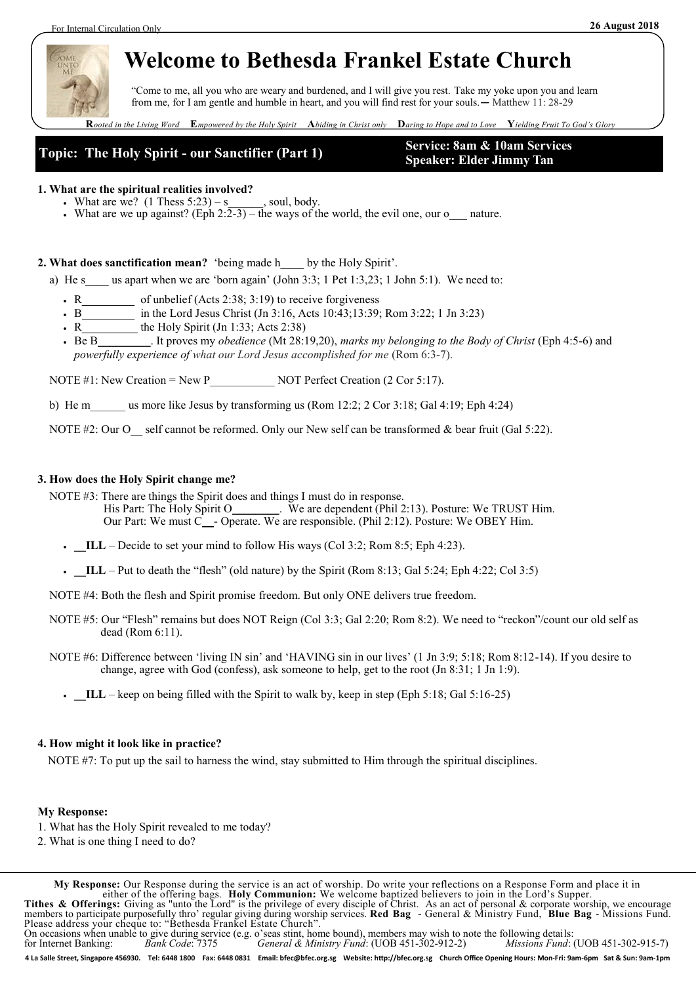

# **Welcome to Bethesda Frankel Estate Church**

"Come to me, all you who are weary and burdened, and I will give you rest. Take my yoke upon you and learn from me, for I am gentle and humble in heart, and you will find rest for your souls.**—** Matthew 11: 28-29

**R***ooted in the Living Word* **E***mpowered by the Holy Spirit* **A***biding in Christ only* **D***aring to Hope and to Love* **Y***ielding Fruit To God's Glory*



**Speaker: Elder Jimmy Tan**

### **1. What are the spiritual realities involved?**

- What are we?  $(1$  Thess  $5:23$ ) s soul, body.
- What are we up against? (Eph  $2:\overline{2-3}$ ) the ways of the world, the evil one, our o\_\_\_ nature.

**2. What does sanctification mean?** 'being made h\_\_\_\_ by the Holy Spirit'.

a) He s us apart when we are 'born again' (John 3:3; 1 Pet 1:3,23; 1 John 5:1). We need to:

- R\_\_\_\_\_\_\_\_\_ of unbelief (Acts 2:38; 3:19) to receive forgiveness
- B\_\_\_\_\_\_\_\_\_ in the Lord Jesus Christ (Jn 3:16, Acts 10:43;13:39; Rom 3:22; 1 Jn 3:23)
- R  $\overline{\phantom{a}}$  the Holy Spirit (Jn 1:33; Acts 2:38)
- Be B\_\_\_\_\_\_\_\_\_. It proves my *obedience* (Mt 28:19,20), *marks my belonging to the Body of Christ* (Eph 4:5-6) and *powerfully experience of what our Lord Jesus accomplished for me* (Rom 6:3-7).

NOTE #1: New Creation = New P  $\overline{NOT}$  Perfect Creation (2 Cor 5:17).

b) He m\_\_\_\_\_ us more like Jesus by transforming us (Rom 12:2; 2 Cor 3:18; Gal 4:19; Eph 4:24)

NOTE #2: Our O self cannot be reformed. Only our New self can be transformed & bear fruit (Gal 5:22).

### **3. How does the Holy Spirit change me?**

NOTE #3: There are things the Spirit does and things I must do in response.

- His Part: The Holy Spirit O\_\_\_\_\_\_\_. We are dependent (Phil 2:13). Posture: We TRUST Him. Our Part: We must C\_\_- Operate. We are responsible. (Phil 2:12). Posture: We OBEY Him.
- **.** ILL Decide to set your mind to follow His ways (Col 3:2; Rom 8:5; Eph 4:23).
- **.**  $IL$  Put to death the "flesh" (old nature) by the Spirit (Rom 8:13; Gal 5:24; Eph 4:22; Col 3:5)

NOTE #4: Both the flesh and Spirit promise freedom. But only ONE delivers true freedom.

- NOTE #5: Our "Flesh" remains but does NOT Reign (Col 3:3; Gal 2:20; Rom 8:2). We need to "reckon"/count our old self as dead (Rom 6:11).
- NOTE #6: Difference between 'living IN sin' and 'HAVING sin in our lives' (1 Jn 3:9; 5:18; Rom 8:12-14). If you desire to change, agree with God (confess), ask someone to help, get to the root (Jn 8:31; 1 Jn 1:9).
	- **\_\_ILL** keep on being filled with the Spirit to walk by, keep in step (Eph 5:18; Gal 5:16-25)

### **4. How might it look like in practice?**

NOTE #7: To put up the sail to harness the wind, stay submitted to Him through the spiritual disciplines.

#### **My Response:**

- 1. What has the Holy Spirit revealed to me today?
- 2. What is one thing I need to do?

**My Response:** Our Response during the service is an act of worship. Do write your reflections on a Response Form and place it in either of the offering bags. **Holy Communion:** We welcome baptized believers to join in the Lord's Supper. **Tithes & Offerings:** Giving as "unto the Lord" is the privilege of every disciple of Christ. As an act of personal & corporate worship, we encourage members to participate purposefully thro' regular giving during worship services. **Red Bag** - General & Ministry Fund, **Blue Bag** - Missions Fund. Please address your cheque to: "Bethesda Frankel Estate Church". On occasions when unable to give during service (e.g. o'seas stint, home bound), members may wish to note the following details:<br>for Internet Banking: Bank Code: 7375 General & Ministry Fund: (UOB 451-302-912-2) Missions F for Internet Banking: *Bank Code*: 7375 *General & Ministry Fund*: (UOB 451-302-912-2) *Missions Fund*: (UOB 451-302-915-7)

4 La Salle Street, Singapore 456930. Tel: 6448 1800 Fax: 6448 0831 Email: bfec@bfec.org.sg Website: http://bfec.org.sg Church Office Opening Hours: Mon-Fri: 9am-6pm Sat & Sun: 9am-1pm